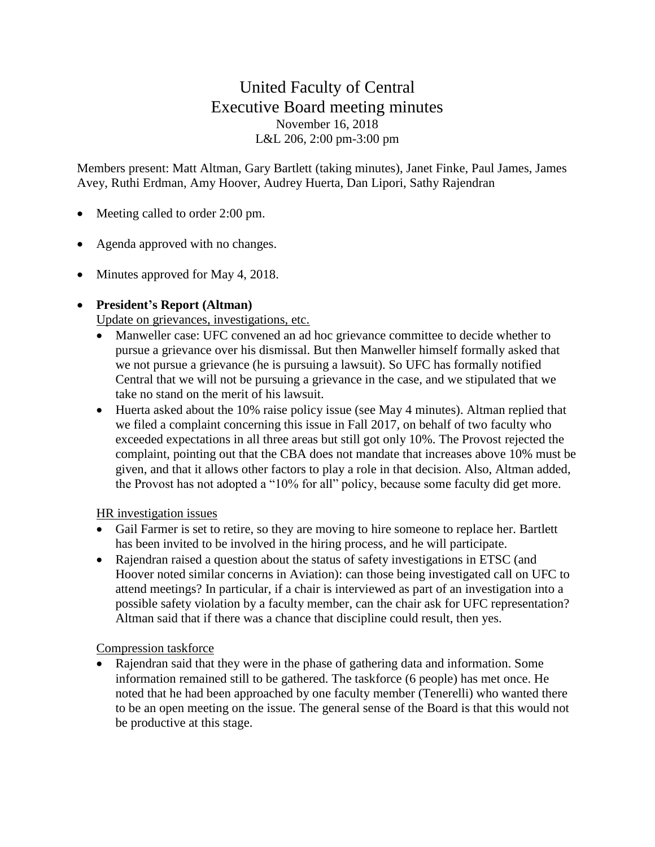# United Faculty of Central Executive Board meeting minutes November 16, 2018 L&L 206, 2:00 pm-3:00 pm

Members present: Matt Altman, Gary Bartlett (taking minutes), Janet Finke, Paul James, James Avey, Ruthi Erdman, Amy Hoover, Audrey Huerta, Dan Lipori, Sathy Rajendran

- Meeting called to order 2:00 pm.
- Agenda approved with no changes.
- Minutes approved for May 4, 2018.

### • **President's Report (Altman)**

Update on grievances, investigations, etc.

- Manweller case: UFC convened an ad hoc grievance committee to decide whether to pursue a grievance over his dismissal. But then Manweller himself formally asked that we not pursue a grievance (he is pursuing a lawsuit). So UFC has formally notified Central that we will not be pursuing a grievance in the case, and we stipulated that we take no stand on the merit of his lawsuit.
- Huerta asked about the 10% raise policy issue (see May 4 minutes). Altman replied that we filed a complaint concerning this issue in Fall 2017, on behalf of two faculty who exceeded expectations in all three areas but still got only 10%. The Provost rejected the complaint, pointing out that the CBA does not mandate that increases above 10% must be given, and that it allows other factors to play a role in that decision. Also, Altman added, the Provost has not adopted a "10% for all" policy, because some faculty did get more.

#### HR investigation issues

- Gail Farmer is set to retire, so they are moving to hire someone to replace her. Bartlett has been invited to be involved in the hiring process, and he will participate.
- Rajendran raised a question about the status of safety investigations in ETSC (and Hoover noted similar concerns in Aviation): can those being investigated call on UFC to attend meetings? In particular, if a chair is interviewed as part of an investigation into a possible safety violation by a faculty member, can the chair ask for UFC representation? Altman said that if there was a chance that discipline could result, then yes.

Compression taskforce

Rajendran said that they were in the phase of gathering data and information. Some information remained still to be gathered. The taskforce (6 people) has met once. He noted that he had been approached by one faculty member (Tenerelli) who wanted there to be an open meeting on the issue. The general sense of the Board is that this would not be productive at this stage.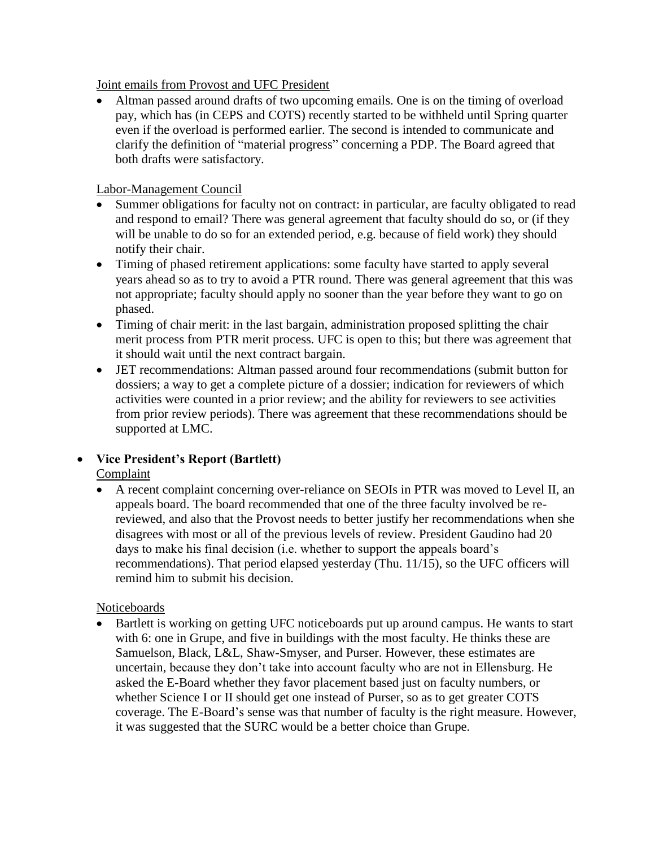Joint emails from Provost and UFC President

• Altman passed around drafts of two upcoming emails. One is on the timing of overload pay, which has (in CEPS and COTS) recently started to be withheld until Spring quarter even if the overload is performed earlier. The second is intended to communicate and clarify the definition of "material progress" concerning a PDP. The Board agreed that both drafts were satisfactory.

#### Labor-Management Council

- Summer obligations for faculty not on contract: in particular, are faculty obligated to read and respond to email? There was general agreement that faculty should do so, or (if they will be unable to do so for an extended period, e.g. because of field work) they should notify their chair.
- Timing of phased retirement applications: some faculty have started to apply several years ahead so as to try to avoid a PTR round. There was general agreement that this was not appropriate; faculty should apply no sooner than the year before they want to go on phased.
- Timing of chair merit: in the last bargain, administration proposed splitting the chair merit process from PTR merit process. UFC is open to this; but there was agreement that it should wait until the next contract bargain.
- JET recommendations: Altman passed around four recommendations (submit button for dossiers; a way to get a complete picture of a dossier; indication for reviewers of which activities were counted in a prior review; and the ability for reviewers to see activities from prior review periods). There was agreement that these recommendations should be supported at LMC.

## • **Vice President's Report (Bartlett)**

Complaint

• A recent complaint concerning over-reliance on SEOIs in PTR was moved to Level II, an appeals board. The board recommended that one of the three faculty involved be rereviewed, and also that the Provost needs to better justify her recommendations when she disagrees with most or all of the previous levels of review. President Gaudino had 20 days to make his final decision (i.e. whether to support the appeals board's recommendations). That period elapsed yesterday (Thu. 11/15), so the UFC officers will remind him to submit his decision.

#### Noticeboards

• Bartlett is working on getting UFC noticeboards put up around campus. He wants to start with 6: one in Grupe, and five in buildings with the most faculty. He thinks these are Samuelson, Black, L&L, Shaw-Smyser, and Purser. However, these estimates are uncertain, because they don't take into account faculty who are not in Ellensburg. He asked the E-Board whether they favor placement based just on faculty numbers, or whether Science I or II should get one instead of Purser, so as to get greater COTS coverage. The E-Board's sense was that number of faculty is the right measure. However, it was suggested that the SURC would be a better choice than Grupe.